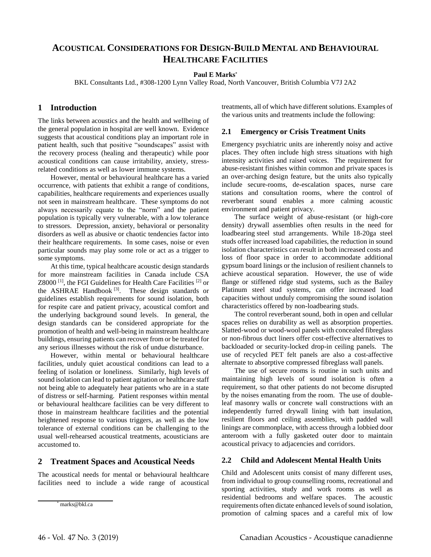# **ACOUSTICAL CONSIDERATIONS FOR DESIGN-BUILD MENTAL AND BEHAVIOURAL HEALTHCARE FACILITIES**

#### **Paul E Marks\***

BKL Consultants Ltd., #308-1200 Lynn Valley Road, North Vancouver, British Columbia V7J 2A2

# **1 Introduction**

The links between acoustics and the health and wellbeing of the general population in hospital are well known. Evidence suggests that acoustical conditions play an important role in patient health, such that positive "soundscapes" assist with the recovery process (healing and therapeutic) while poor acoustical conditions can cause irritability, anxiety, stressrelated conditions as well as lower immune systems.

However, mental or behavioural healthcare has a varied occurrence, with patients that exhibit a range of conditions, capabilities, healthcare requirements and experiences usually not seen in mainstream healthcare. These symptoms do not always necessarily equate to the "norm" and the patient population is typically very vulnerable, with a low tolerance to stressors. Depression, anxiety, behavioral or personality disorders as well as abusive or chaotic tendencies factor into their healthcare requirements. In some cases, noise or even particular sounds may play some role or act as a trigger to some symptoms.

At this time, typical healthcare acoustic design standards for more mainstream facilities in Canada include CSA  $Z8000$ <sup>[1]</sup>, the FGI Guidelines for Health Care Facilities <sup>[2]</sup> or the ASHRAE Handbook<sup>[3]</sup>. These design standards or guidelines establish requirements for sound isolation, both for respite care and patient privacy, acoustical comfort and the underlying background sound levels. In general, the design standards can be considered appropriate for the promotion of health and well-being in mainstream healthcare buildings, ensuring patients can recover from or be treated for any serious illnesses without the risk of undue disturbance.

However, within mental or behavioural healthcare facilities, unduly quiet acoustical conditions can lead to a feeling of isolation or loneliness. Similarly, high levels of sound isolation can lead to patient agitation or healthcare staff not being able to adequately hear patients who are in a state of distress or self-harming. Patient responses within mental or behavioural healthcare facilities can be very different to those in mainstream healthcare facilities and the potential heightened response to various triggers, as well as the low tolerance of external conditions can be challenging to the usual well-rehearsed acoustical treatments, acousticians are accustomed to.

#### **2 Treatment Spaces and Acoustical Needs**

The acoustical needs for mental or behavioural healthcare facilities need to include a wide range of acoustical

\* marks@bkl.ca

treatments, all of which have different solutions. Examples of the various units and treatments include the following:

#### **2.1 Emergency or Crisis Treatment Units**

Emergency psychiatric units are inherently noisy and active places. They often include high stress situations with high intensity activities and raised voices. The requirement for abuse-resistant finishes within common and private spaces is an over-arching design feature, but the units also typically include secure-rooms, de-escalation spaces, nurse care stations and consultation rooms, where the control of reverberant sound enables a more calming acoustic environment and patient privacy.

The surface weight of abuse-resistant (or high-core density) drywall assemblies often results in the need for loadbearing steel stud arrangements. While 18-20ga steel studs offer increased load capabilities, the reduction in sound isolation characteristics can result in both increased costs and loss of floor space in order to accommodate additional gypsum board linings or the inclusion of resilient channels to achieve acoustical separation. However, the use of wide flange or stiffened ridge stud systems, such as the Bailey Platinum steel stud systems, can offer increased load capacities without unduly compromising the sound isolation characteristics offered by non-loadbearing studs.

The control reverberant sound, both in open and cellular spaces relies on durability as well as absorption properties. Slatted-wood or wood-wool panels with concealed fibreglass or non-fibrous duct liners offer cost-effective alternatives to backloaded or security-locked drop-in ceiling panels. The use of recycled PET felt panels are also a cost-affective alternate to absorptive compressed fibreglass wall panels.

The use of secure rooms is routine in such units and maintaining high levels of sound isolation is often a requirement, so that other patients do not become disrupted by the noises emanating from the room. The use of doubleleaf masonry walls or concrete wall constructions with an independently furred drywall lining with batt insulation, resilient floors and ceiling assemblies, with padded wall linings are commonplace, with access through a lobbied door anteroom with a fully gasketed outer door to maintain acoustical privacy to adjacencies and corridors.

#### **2.2 Child and Adolescent Mental Health Units**

Child and Adolescent units consist of many different uses, from individual to group counselling rooms, recreational and sporting activities, study and work rooms as well as residential bedrooms and welfare spaces. The acoustic requirements often dictate enhanced levels of sound isolation, promotion of calming spaces and a careful mix of low